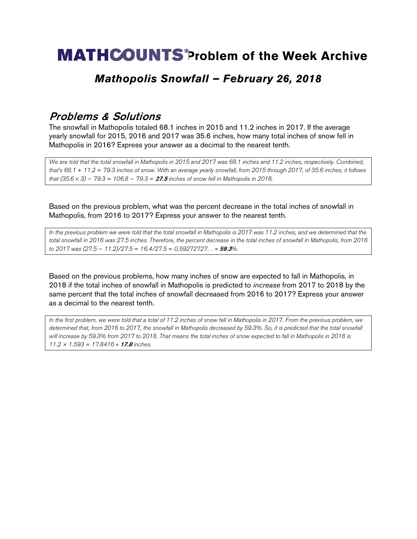# **MATHCOUNTS®Problem of the Week Archive**

### *Mathopolis Snowfall – February 26, 2018*

### Problems & Solutions

The snowfall in Mathopolis totaled 68.1 inches in 2015 and 11.2 inches in 2017. If the average yearly snowfall for 2015, 2016 and 2017 was 35.6 inches, how many total inches of snow fell in Mathopolis in 2016? Express your answer as a decimal to the nearest tenth.

*We are told that the total snowfall in Mathopolis in 2015 and 2017 was 68.1 inches and 11.2 inches, respectively. Combined, that's 68.1* + *11.2* = *79.3 inches of snow. With an average yearly snowfall, from 2015 through 2017, of 35.6 inches, it follows that (35.6* × *3)* − *79.3* = *106.8* − *79.3* = 27.5 *inches of snow fell in Mathopolis in 2016.*

Based on the previous problem, what was the percent decrease in the total inches of snowfall in Mathopolis, from 2016 to 2017? Express your answer to the nearest tenth.

*In the previous problem we were told that the total snowfall in Mathopolis is 2017 was 11.2 inches, and we determined that the total snowfall in 2016 was 27.5 inches. Therefore, the percent decrease in the total inches of snowfall in Mathopolis, from 2016 to 2017 was (27.5* − *11.2)/27.5* = *16.4/27.5* = *0.59272727…* ≈ 59.3*%.*

Based on the previous problems, how many inches of snow are expected to fall in Mathopolis, in 2018 if the total inches of snowfall in Mathopolis is predicted to *increase* from 2017 to 2018 by the same percent that the total inches of snowfall decreased from 2016 to 2017? Express your answer as a decimal to the nearest tenth.

*In the first problem, we were told that a total of 11.2 inches of snow fell in Mathopolis in 2017. From the previous problem, we determined that, from 2016 to 2017, the snowfall in Mathopolis decreased by 59.3%. So, it is predicted that the total snowfall will increase by 59.3% from 2017 to 2018. That means the total inches of snow expected to fall in Mathopolis in 2018 is 11.2 × 1.593* = *17.8416* ≈ 17.8 *inches.*